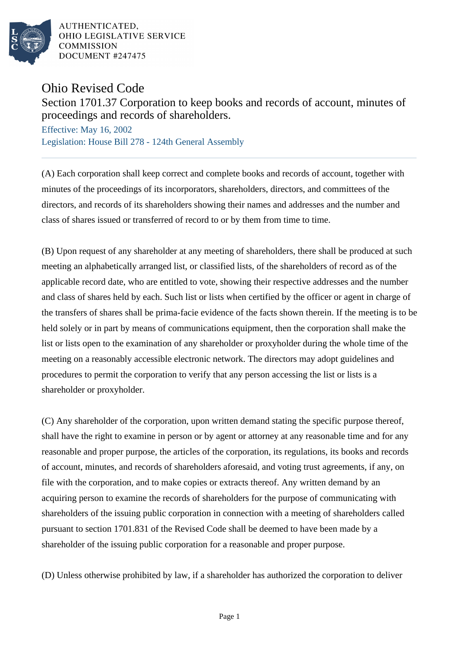

AUTHENTICATED. OHIO LEGISLATIVE SERVICE **COMMISSION** DOCUMENT #247475

Ohio Revised Code

Section 1701.37 Corporation to keep books and records of account, minutes of proceedings and records of shareholders.

Effective: May 16, 2002 Legislation: House Bill 278 - 124th General Assembly

(A) Each corporation shall keep correct and complete books and records of account, together with minutes of the proceedings of its incorporators, shareholders, directors, and committees of the directors, and records of its shareholders showing their names and addresses and the number and class of shares issued or transferred of record to or by them from time to time.

(B) Upon request of any shareholder at any meeting of shareholders, there shall be produced at such meeting an alphabetically arranged list, or classified lists, of the shareholders of record as of the applicable record date, who are entitled to vote, showing their respective addresses and the number and class of shares held by each. Such list or lists when certified by the officer or agent in charge of the transfers of shares shall be prima-facie evidence of the facts shown therein. If the meeting is to be held solely or in part by means of communications equipment, then the corporation shall make the list or lists open to the examination of any shareholder or proxyholder during the whole time of the meeting on a reasonably accessible electronic network. The directors may adopt guidelines and procedures to permit the corporation to verify that any person accessing the list or lists is a shareholder or proxyholder.

(C) Any shareholder of the corporation, upon written demand stating the specific purpose thereof, shall have the right to examine in person or by agent or attorney at any reasonable time and for any reasonable and proper purpose, the articles of the corporation, its regulations, its books and records of account, minutes, and records of shareholders aforesaid, and voting trust agreements, if any, on file with the corporation, and to make copies or extracts thereof. Any written demand by an acquiring person to examine the records of shareholders for the purpose of communicating with shareholders of the issuing public corporation in connection with a meeting of shareholders called pursuant to section 1701.831 of the Revised Code shall be deemed to have been made by a shareholder of the issuing public corporation for a reasonable and proper purpose.

(D) Unless otherwise prohibited by law, if a shareholder has authorized the corporation to deliver